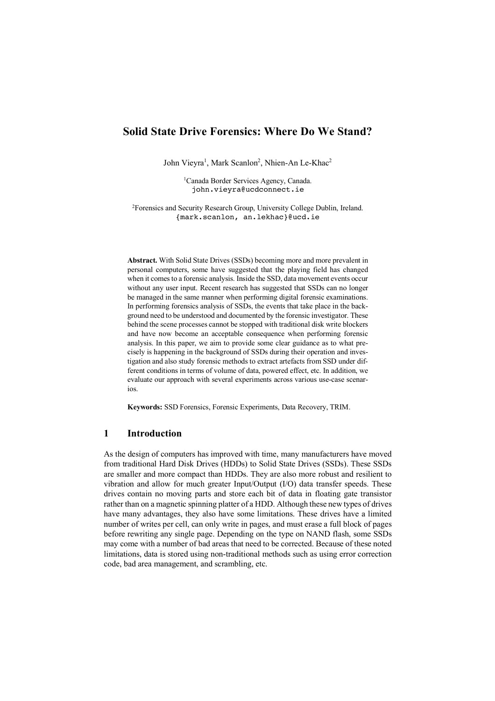# **Solid State Drive Forensics: Where Do We Stand?**

John Vieyra<sup>1</sup>, Mark Scanlon<sup>2</sup>, Nhien-An Le-Khac<sup>2</sup>

1Canada Border Services Agency, Canada. john.vieyra@ucdconnect.ie

2Forensics and Security Research Group, University College Dublin, Ireland. {mark.scanlon, an.lekhac}@ucd.ie

**Abstract.** With Solid State Drives (SSDs) becoming more and more prevalent in personal computers, some have suggested that the playing field has changed when it comes to a forensic analysis. Inside the SSD, data movement events occur without any user input. Recent research has suggested that SSDs can no longer be managed in the same manner when performing digital forensic examinations. In performing forensics analysis of SSDs, the events that take place in the background need to be understood and documented by the forensic investigator. These behind the scene processes cannot be stopped with traditional disk write blockers and have now become an acceptable consequence when performing forensic analysis. In this paper, we aim to provide some clear guidance as to what precisely is happening in the background of SSDs during their operation and investigation and also study forensic methods to extract artefacts from SSD under different conditions in terms of volume of data, powered effect, etc. In addition, we evaluate our approach with several experiments across various use-case scenarios.

**Keywords:** SSD Forensics, Forensic Experiments, Data Recovery, TRIM.

# **1 Introduction**

As the design of computers has improved with time, many manufacturers have moved from traditional Hard Disk Drives (HDDs) to Solid State Drives (SSDs). These SSDs are smaller and more compact than HDDs. They are also more robust and resilient to vibration and allow for much greater Input/Output (I/O) data transfer speeds. These drives contain no moving parts and store each bit of data in floating gate transistor rather than on a magnetic spinning platter of a HDD. Although these new types of drives have many advantages, they also have some limitations. These drives have a limited number of writes per cell, can only write in pages, and must erase a full block of pages before rewriting any single page. Depending on the type on NAND flash, some SSDs may come with a number of bad areas that need to be corrected. Because of these noted limitations, data is stored using non-traditional methods such as using error correction code, bad area management, and scrambling, etc.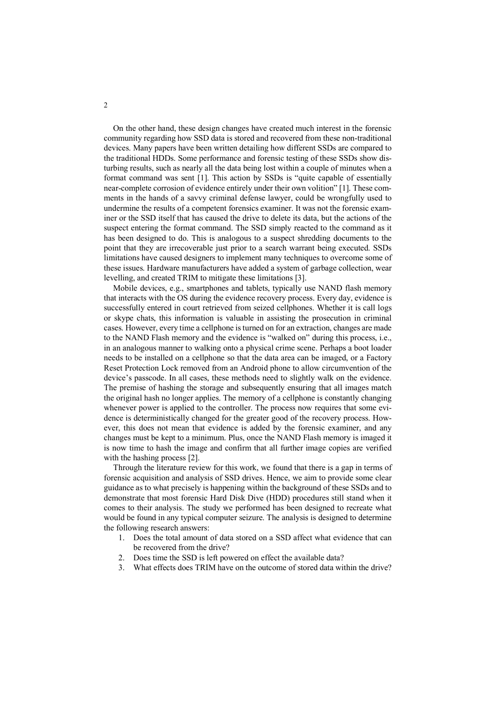On the other hand, these design changes have created much interest in the forensic community regarding how SSD data is stored and recovered from these non-traditional devices. Many papers have been written detailing how different SSDs are compared to the traditional HDDs. Some performance and forensic testing of these SSDs show disturbing results, such as nearly all the data being lost within a couple of minutes when a format command was sent [1]. This action by SSDs is "quite capable of essentially near-complete corrosion of evidence entirely under their own volition" [1]. These comments in the hands of a savvy criminal defense lawyer, could be wrongfully used to undermine the results of a competent forensics examiner. It was not the forensic examiner or the SSD itself that has caused the drive to delete its data, but the actions of the suspect entering the format command. The SSD simply reacted to the command as it has been designed to do. This is analogous to a suspect shredding documents to the point that they are irrecoverable just prior to a search warrant being executed. SSDs limitations have caused designers to implement many techniques to overcome some of these issues. Hardware manufacturers have added a system of garbage collection, wear levelling, and created TRIM to mitigate these limitations [3].

Mobile devices, e.g., smartphones and tablets, typically use NAND flash memory that interacts with the OS during the evidence recovery process. Every day, evidence is successfully entered in court retrieved from seized cellphones. Whether it is call logs or skype chats, this information is valuable in assisting the prosecution in criminal cases. However, every time a cellphone is turned on for an extraction, changes are made to the NAND Flash memory and the evidence is "walked on" during this process, i.e., in an analogous manner to walking onto a physical crime scene. Perhaps a boot loader needs to be installed on a cellphone so that the data area can be imaged, or a Factory Reset Protection Lock removed from an Android phone to allow circumvention of the device's passcode. In all cases, these methods need to slightly walk on the evidence. The premise of hashing the storage and subsequently ensuring that all images match the original hash no longer applies. The memory of a cellphone is constantly changing whenever power is applied to the controller. The process now requires that some evidence is deterministically changed for the greater good of the recovery process. However, this does not mean that evidence is added by the forensic examiner, and any changes must be kept to a minimum. Plus, once the NAND Flash memory is imaged it is now time to hash the image and confirm that all further image copies are verified with the hashing process [2].

Through the literature review for this work, we found that there is a gap in terms of forensic acquisition and analysis of SSD drives. Hence, we aim to provide some clear guidance as to what precisely is happening within the background of these SSDs and to demonstrate that most forensic Hard Disk Dive (HDD) procedures still stand when it comes to their analysis. The study we performed has been designed to recreate what would be found in any typical computer seizure. The analysis is designed to determine the following research answers:

- 1. Does the total amount of data stored on a SSD affect what evidence that can be recovered from the drive?
- 2. Does time the SSD is left powered on effect the available data?
- 3. What effects does TRIM have on the outcome of stored data within the drive?

2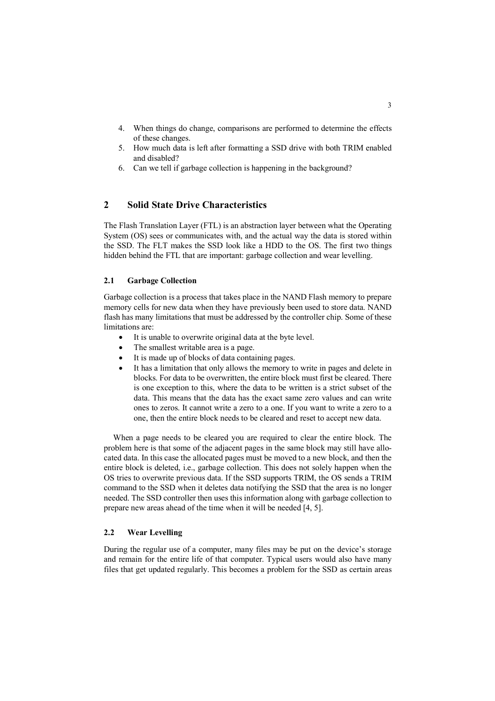- 4. When things do change, comparisons are performed to determine the effects of these changes.
- 5. How much data is left after formatting a SSD drive with both TRIM enabled and disabled?
- 6. Can we tell if garbage collection is happening in the background?

# **2 Solid State Drive Characteristics**

The Flash Translation Layer (FTL) is an abstraction layer between what the Operating System (OS) sees or communicates with, and the actual way the data is stored within the SSD. The FLT makes the SSD look like a HDD to the OS. The first two things hidden behind the FTL that are important: garbage collection and wear levelling.

# **2.1 Garbage Collection**

Garbage collection is a process that takes place in the NAND Flash memory to prepare memory cells for new data when they have previously been used to store data. NAND flash has many limitations that must be addressed by the controller chip. Some of these limitations are:

- It is unable to overwrite original data at the byte level.
- The smallest writable area is a page.
- It is made up of blocks of data containing pages.
- It has a limitation that only allows the memory to write in pages and delete in blocks. For data to be overwritten, the entire block must first be cleared. There is one exception to this, where the data to be written is a strict subset of the data. This means that the data has the exact same zero values and can write ones to zeros. It cannot write a zero to a one. If you want to write a zero to a one, then the entire block needs to be cleared and reset to accept new data.

When a page needs to be cleared you are required to clear the entire block. The problem here is that some of the adjacent pages in the same block may still have allocated data. In this case the allocated pages must be moved to a new block, and then the entire block is deleted, i.e., garbage collection. This does not solely happen when the OS tries to overwrite previous data. If the SSD supports TRIM, the OS sends a TRIM command to the SSD when it deletes data notifying the SSD that the area is no longer needed. The SSD controller then uses this information along with garbage collection to prepare new areas ahead of the time when it will be needed [4, 5].

## **2.2 Wear Levelling**

During the regular use of a computer, many files may be put on the device's storage and remain for the entire life of that computer. Typical users would also have many files that get updated regularly. This becomes a problem for the SSD as certain areas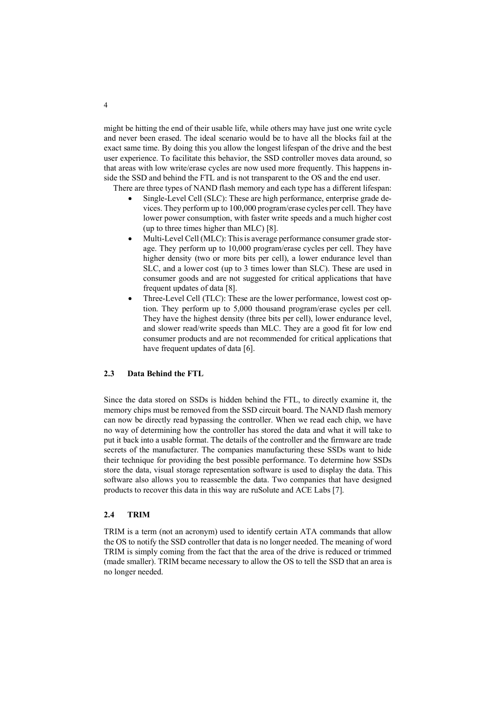might be hitting the end of their usable life, while others may have just one write cycle and never been erased. The ideal scenario would be to have all the blocks fail at the exact same time. By doing this you allow the longest lifespan of the drive and the best user experience. To facilitate this behavior, the SSD controller moves data around, so that areas with low write/erase cycles are now used more frequently. This happens inside the SSD and behind the FTL and is not transparent to the OS and the end user.

- There are three types of NAND flash memory and each type has a different lifespan:
	- Single-Level Cell (SLC): These are high performance, enterprise grade devices. They perform up to 100,000 program/erase cycles per cell. They have lower power consumption, with faster write speeds and a much higher cost (up to three times higher than MLC) [8].
	- Multi-Level Cell (MLC): This is average performance consumer grade storage. They perform up to 10,000 program/erase cycles per cell. They have higher density (two or more bits per cell), a lower endurance level than SLC, and a lower cost (up to 3 times lower than SLC). These are used in consumer goods and are not suggested for critical applications that have frequent updates of data [8].
	- Three-Level Cell (TLC): These are the lower performance, lowest cost option. They perform up to 5,000 thousand program/erase cycles per cell. They have the highest density (three bits per cell), lower endurance level, and slower read/write speeds than MLC. They are a good fit for low end consumer products and are not recommended for critical applications that have frequent updates of data [6].

#### **2.3 Data Behind the FTL**

Since the data stored on SSDs is hidden behind the FTL, to directly examine it, the memory chips must be removed from the SSD circuit board. The NAND flash memory can now be directly read bypassing the controller. When we read each chip, we have no way of determining how the controller has stored the data and what it will take to put it back into a usable format. The details of the controller and the firmware are trade secrets of the manufacturer. The companies manufacturing these SSDs want to hide their technique for providing the best possible performance. To determine how SSDs store the data, visual storage representation software is used to display the data. This software also allows you to reassemble the data. Two companies that have designed products to recover this data in this way are ruSolute and ACE Labs [7].

### **2.4 TRIM**

TRIM is a term (not an acronym) used to identify certain ATA commands that allow the OS to notify the SSD controller that data is no longer needed. The meaning of word TRIM is simply coming from the fact that the area of the drive is reduced or trimmed (made smaller). TRIM became necessary to allow the OS to tell the SSD that an area is no longer needed.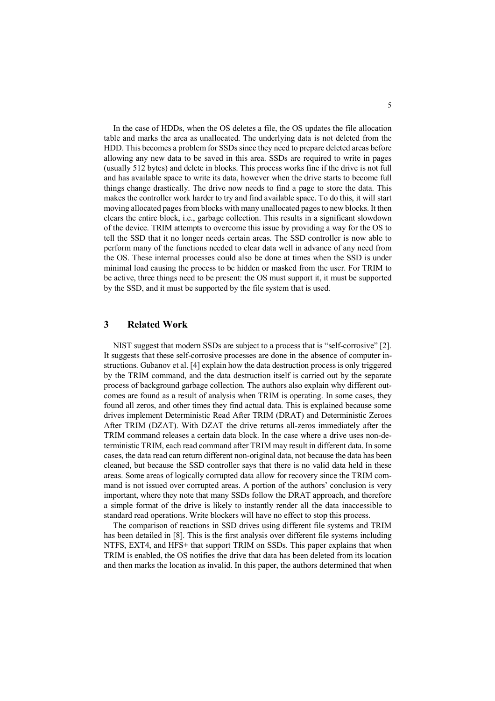In the case of HDDs, when the OS deletes a file, the OS updates the file allocation table and marks the area as unallocated. The underlying data is not deleted from the HDD. This becomes a problem for SSDs since they need to prepare deleted areas before allowing any new data to be saved in this area. SSDs are required to write in pages (usually 512 bytes) and delete in blocks. This process works fine if the drive is not full and has available space to write its data, however when the drive starts to become full things change drastically. The drive now needs to find a page to store the data. This makes the controller work harder to try and find available space. To do this, it will start moving allocated pages from blocks with many unallocated pages to new blocks. It then clears the entire block, i.e., garbage collection. This results in a significant slowdown of the device. TRIM attempts to overcome this issue by providing a way for the OS to tell the SSD that it no longer needs certain areas. The SSD controller is now able to perform many of the functions needed to clear data well in advance of any need from the OS. These internal processes could also be done at times when the SSD is under minimal load causing the process to be hidden or masked from the user. For TRIM to be active, three things need to be present: the OS must support it, it must be supported by the SSD, and it must be supported by the file system that is used.

# **3 Related Work**

NIST suggest that modern SSDs are subject to a process that is "self-corrosive" [2]. It suggests that these self-corrosive processes are done in the absence of computer instructions. Gubanov et al. [4] explain how the data destruction process is only triggered by the TRIM command, and the data destruction itself is carried out by the separate process of background garbage collection. The authors also explain why different outcomes are found as a result of analysis when TRIM is operating. In some cases, they found all zeros, and other times they find actual data. This is explained because some drives implement Deterministic Read After TRIM (DRAT) and Deterministic Zeroes After TRIM (DZAT). With DZAT the drive returns all-zeros immediately after the TRIM command releases a certain data block. In the case where a drive uses non-deterministic TRIM, each read command after TRIM may result in different data. In some cases, the data read can return different non-original data, not because the data has been cleaned, but because the SSD controller says that there is no valid data held in these areas. Some areas of logically corrupted data allow for recovery since the TRIM command is not issued over corrupted areas. A portion of the authors' conclusion is very important, where they note that many SSDs follow the DRAT approach, and therefore a simple format of the drive is likely to instantly render all the data inaccessible to standard read operations. Write blockers will have no effect to stop this process.

The comparison of reactions in SSD drives using different file systems and TRIM has been detailed in [8]. This is the first analysis over different file systems including NTFS, EXT4, and HFS+ that support TRIM on SSDs. This paper explains that when TRIM is enabled, the OS notifies the drive that data has been deleted from its location and then marks the location as invalid. In this paper, the authors determined that when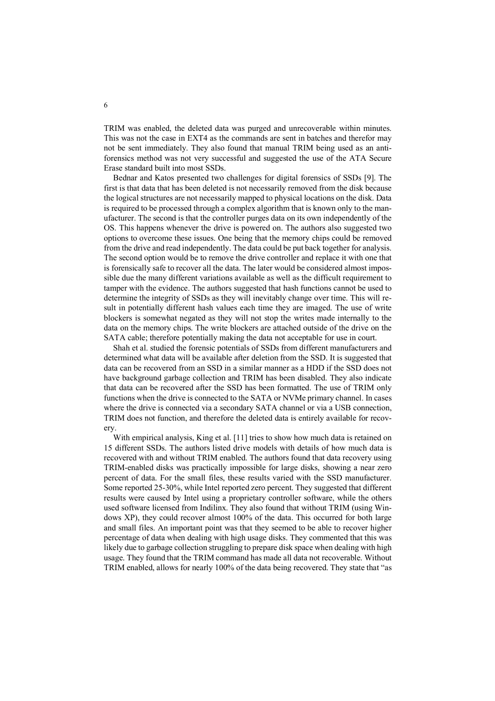TRIM was enabled, the deleted data was purged and unrecoverable within minutes. This was not the case in EXT4 as the commands are sent in batches and therefor may not be sent immediately. They also found that manual TRIM being used as an antiforensics method was not very successful and suggested the use of the ATA Secure Erase standard built into most SSDs.

Bednar and Katos presented two challenges for digital forensics of SSDs [9]. The first is that data that has been deleted is not necessarily removed from the disk because the logical structures are not necessarily mapped to physical locations on the disk. Data is required to be processed through a complex algorithm that is known only to the manufacturer. The second is that the controller purges data on its own independently of the OS. This happens whenever the drive is powered on. The authors also suggested two options to overcome these issues. One being that the memory chips could be removed from the drive and read independently. The data could be put back together for analysis. The second option would be to remove the drive controller and replace it with one that is forensically safe to recover all the data. The later would be considered almost impossible due the many different variations available as well as the difficult requirement to tamper with the evidence. The authors suggested that hash functions cannot be used to determine the integrity of SSDs as they will inevitably change over time. This will result in potentially different hash values each time they are imaged. The use of write blockers is somewhat negated as they will not stop the writes made internally to the data on the memory chips. The write blockers are attached outside of the drive on the SATA cable; therefore potentially making the data not acceptable for use in court.

Shah et al. studied the forensic potentials of SSDs from different manufacturers and determined what data will be available after deletion from the SSD. It is suggested that data can be recovered from an SSD in a similar manner as a HDD if the SSD does not have background garbage collection and TRIM has been disabled. They also indicate that data can be recovered after the SSD has been formatted. The use of TRIM only functions when the drive is connected to the SATA or NVMe primary channel. In cases where the drive is connected via a secondary SATA channel or via a USB connection, TRIM does not function, and therefore the deleted data is entirely available for recovery.

With empirical analysis, King et al. [11] tries to show how much data is retained on 15 different SSDs. The authors listed drive models with details of how much data is recovered with and without TRIM enabled. The authors found that data recovery using TRIM-enabled disks was practically impossible for large disks, showing a near zero percent of data. For the small files, these results varied with the SSD manufacturer. Some reported 25-30%, while Intel reported zero percent. They suggested that different results were caused by Intel using a proprietary controller software, while the others used software licensed from Indilinx. They also found that without TRIM (using Windows XP), they could recover almost 100% of the data. This occurred for both large and small files. An important point was that they seemed to be able to recover higher percentage of data when dealing with high usage disks. They commented that this was likely due to garbage collection struggling to prepare disk space when dealing with high usage. They found that the TRIM command has made all data not recoverable. Without TRIM enabled, allows for nearly 100% of the data being recovered. They state that "as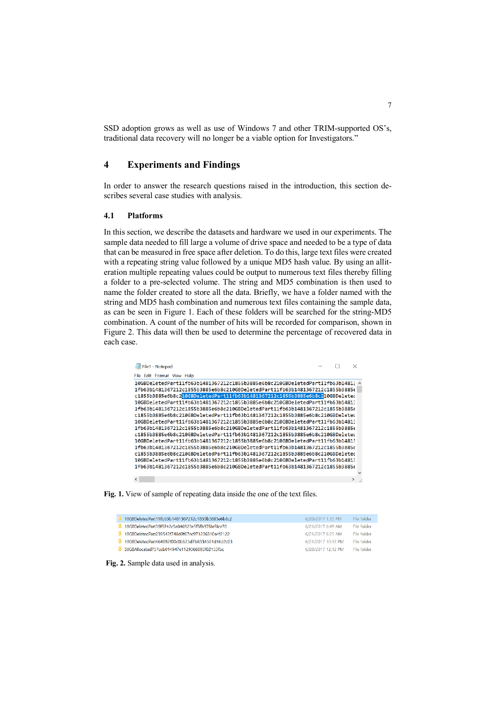SSD adoption grows as well as use of Windows 7 and other TRIM-supported OS's, traditional data recovery will no longer be a viable option for Investigators."

# **4 Experiments and Findings**

In order to answer the research questions raised in the introduction, this section describes several case studies with analysis.

## **4.1 Platforms**

In this section, we describe the datasets and hardware we used in our experiments. The sample data needed to fill large a volume of drive space and needed to be a type of data that can be measured in free space after deletion. To do this, large text files were created with a repeating string value followed by a unique MD5 hash value. By using an alliteration multiple repeating values could be output to numerous text files thereby filling a folder to a pre-selected volume. The string and MD5 combination is then used to name the folder created to store all the data. Briefly, we have a folder named with the string and MD5 hash combination and numerous text files containing the sample data, as can be seen in Figure 1. Each of these folders will be searched for the string-MD5 combination. A count of the number of hits will be recorded for comparison, shown in Figure 2. This data will then be used to determine the percentage of recovered data in each case.

| File1 - Notepad                                                                         |  | × |  |
|-----------------------------------------------------------------------------------------|--|---|--|
| File Edit Format View Help                                                              |  |   |  |
| 10GBDeletedPart11fb63b1481367212c1855b3885e6b8c210GBDeletedPart11fb63b14813 ^           |  |   |  |
| 1fb63b1481367212c1855b3885e6b8c210GBDeletedPart11fb63b1481367212c1855b3885e             |  |   |  |
| c1855b3885e6b8c210GBDeletedPart11fb63b1481367212c1855b3885e6b8c210GBDeleted             |  |   |  |
| 10GBDeletedPart11fb63b1481367212c1855b3885e6b8c210GBDeletedPart11fb63b1481 <sup>:</sup> |  |   |  |
| 1fb63b1481367212c1855b3885e6b8c210GBDeletedPart11fb63b1481367212c1855b3885e             |  |   |  |
| c1855b3885e6b8c210GBDeletedPart11fb63b1481367212c1855b3885e6b8c210GBDeletec             |  |   |  |
| 10GBDeletedPart11fb63b1481367212c1855b3885e6b8c210GBDeletedPart11fb63b14813             |  |   |  |
| 1fb63b1481367212c1855b3885e6b8c210GBDeletedPart11fb63b1481367212c1855b3885e             |  |   |  |
| c1855b3885e6b8c210GBDeletedPart11fb63b1481367212c1855b3885e6b8c210GBDeletec             |  |   |  |
| 10GBDeletedPart11fb63b1481367212c1855b3885e6b8c210GBDeletedPart11fb63b14813             |  |   |  |
| 1fb63b1481367212c1855b3885e6b8c210GBDeletedPart11fb63b1481367212c1855b3885e             |  |   |  |
| c1855b3885e6b8c210GBDeletedPart11fb63b1481367212c1855b3885e6b8c210GBDeletec             |  |   |  |
| 10GBDeletedPart11fb63b1481367212c1855b3885e6b8c210GBDeletedPart11fb63b14813             |  |   |  |
| 1fb63b1481367212c1855b3885e6b8c210GBDeletedPart11fb63b1481367212c1855b3885e             |  |   |  |
|                                                                                         |  |   |  |
| <                                                                                       |  | ⋗ |  |

**Fig. 1.** View of sample of repeating data inside the one of the text files.

| 10GBDeletedPart11fb63b1481367212c1855b3885e6b8c2 | 6/20/2017 1:35 PM  | File folder |
|--------------------------------------------------|--------------------|-------------|
| 10GBDeletedPart39f9742c5e846923e5f5fb97f8ef8ce70 | 6/21/2017 6:49 AM  | File folder |
| 10GBDeletedPart239543f748d0f07ec971206310a4f2122 | 6/21/2017 6:25 AM  | File folder |
| 10GBDeletedPart464092f00c0b623d7b8334581d16d2c03 | 6/21/2017 10:17 PM | File folder |
| 50GBAllocated757ccb014947e1129366093f02153fbc    | 6/20/2017 12:12 PM | File folder |

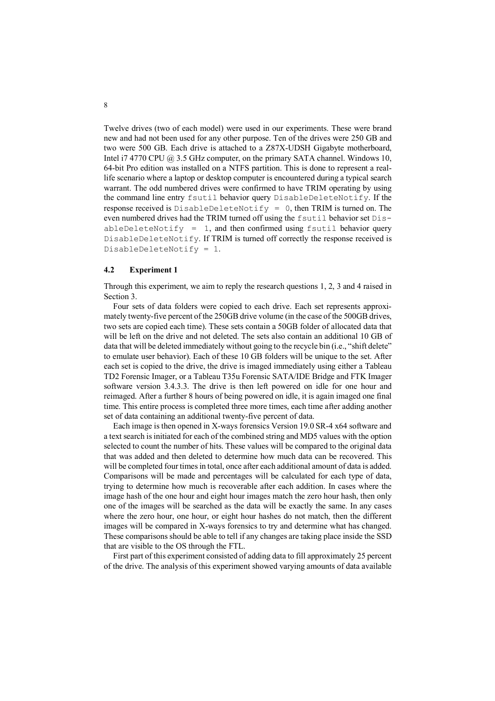Twelve drives (two of each model) were used in our experiments. These were brand new and had not been used for any other purpose. Ten of the drives were 250 GB and two were 500 GB. Each drive is attached to a Z87X-UDSH Gigabyte motherboard, Intel i7 4770 CPU @ 3.5 GHz computer, on the primary SATA channel. Windows 10, 64-bit Pro edition was installed on a NTFS partition. This is done to represent a reallife scenario where a laptop or desktop computer is encountered during a typical search warrant. The odd numbered drives were confirmed to have TRIM operating by using the command line entry fsutil behavior query DisableDeleteNotify. If the response received is DisableDeleteNotify =  $0$ , then TRIM is turned on. The even numbered drives had the TRIM turned off using the fsutil behavior set Dis $able \text{Delta}$  = 1, and then confirmed using fsutil behavior query DisableDeleteNotify. If TRIM is turned off correctly the response received is DisableDeleteNotify = 1.

## **4.2 Experiment 1**

Through this experiment, we aim to reply the research questions 1, 2, 3 and 4 raised in Section 3.

Four sets of data folders were copied to each drive. Each set represents approximately twenty-five percent of the 250GB drive volume (in the case of the 500GB drives, two sets are copied each time). These sets contain a 50GB folder of allocated data that will be left on the drive and not deleted. The sets also contain an additional 10 GB of data that will be deleted immediately without going to the recycle bin (i.e., "shift delete" to emulate user behavior). Each of these 10 GB folders will be unique to the set. After each set is copied to the drive, the drive is imaged immediately using either a Tableau TD2 Forensic Imager, or a Tableau T35u Forensic SATA/IDE Bridge and FTK Imager software version 3.4.3.3. The drive is then left powered on idle for one hour and reimaged. After a further 8 hours of being powered on idle, it is again imaged one final time. This entire process is completed three more times, each time after adding another set of data containing an additional twenty-five percent of data.

Each image is then opened in X-ways forensics Version 19.0 SR-4 x64 software and a text search is initiated for each of the combined string and MD5 values with the option selected to count the number of hits. These values will be compared to the original data that was added and then deleted to determine how much data can be recovered. This will be completed four times in total, once after each additional amount of data is added. Comparisons will be made and percentages will be calculated for each type of data, trying to determine how much is recoverable after each addition. In cases where the image hash of the one hour and eight hour images match the zero hour hash, then only one of the images will be searched as the data will be exactly the same. In any cases where the zero hour, one hour, or eight hour hashes do not match, then the different images will be compared in X-ways forensics to try and determine what has changed. These comparisons should be able to tell if any changes are taking place inside the SSD that are visible to the OS through the FTL.

First part of this experiment consisted of adding data to fill approximately 25 percent of the drive. The analysis of this experiment showed varying amounts of data available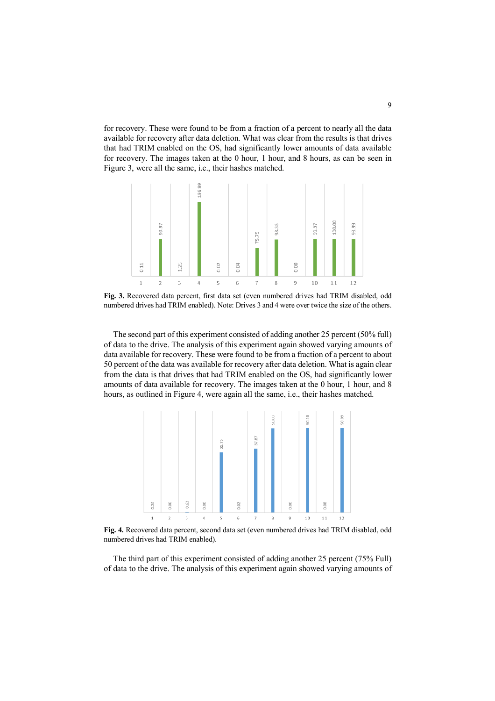for recovery. These were found to be from a fraction of a percent to nearly all the data available for recovery after data deletion. What was clear from the results is that drives that had TRIM enabled on the OS, had significantly lower amounts of data available for recovery. The images taken at the 0 hour, 1 hour, and 8 hours, as can be seen in Figure 3, were all the same, i.e., their hashes matched.



**Fig. 3.** Recovered data percent, first data set (even numbered drives had TRIM disabled, odd numbered drives had TRIM enabled). Note: Drives 3 and 4 were over twice the size of the others.

The second part of this experiment consisted of adding another 25 percent (50% full) of data to the drive. The analysis of this experiment again showed varying amounts of data available for recovery. These were found to be from a fraction of a percent to about 50 percent of the data was available for recovery after data deletion. What is again clear from the data is that drives that had TRIM enabled on the OS, had significantly lower amounts of data available for recovery. The images taken at the 0 hour, 1 hour, and 8 hours, as outlined in Figure 4, were again all the same, i.e., their hashes matched.



**Fig. 4.** Recovered data percent, second data set (even numbered drives had TRIM disabled, odd numbered drives had TRIM enabled).

The third part of this experiment consisted of adding another 25 percent (75% Full) of data to the drive. The analysis of this experiment again showed varying amounts of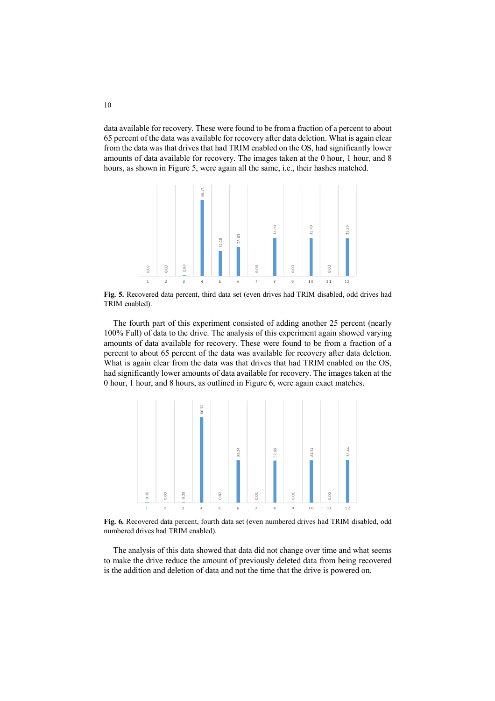data available for recovery. These were found to be from a fraction of a percent to about 65 percent of the data was available for recovery after data deletion. What is again clear from the data was that drives that had TRIM enabled on the OS, had significantly lower amounts of data available for recovery. The images taken at the 0 hour, 1 hour, and 8 hours, as shown in Figure 5, were again all the same, i.e., their hashes matched.



**Fig. 5.** Recovered data percent, third data set (even drives had TRIM disabled, odd drives had TRIM enabled).

The fourth part of this experiment consisted of adding another 25 percent (nearly 100% Full) of data to the drive. The analysis of this experiment again showed varying amounts of data available for recovery. These were found to be from a fraction of a percent to about 65 percent of the data was available for recovery after data deletion. What is again clear from the data was that drives that had TRIM enabled on the OS, had significantly lower amounts of data available for recovery. The images taken at the 0 hour, 1 hour, and 8 hours, as outlined in Figure 6, were again exact matches.



**Fig. 6.** Recovered data percent, fourth data set (even numbered drives had TRIM disabled, odd numbered drives had TRIM enabled).

The analysis of this data showed that data did not change over time and what seems to make the drive reduce the amount of previously deleted data from being recovered is the addition and deletion of data and not the time that the drive is powered on.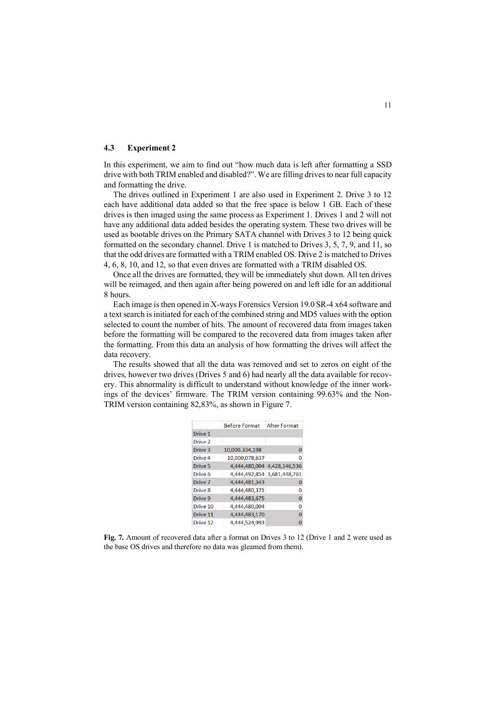#### **4.3 Experiment 2**

In this experiment, we aim to find out "how much data is left after formatting a SSD drive with both TRIM enabled and disabled?". We are filling drives to near full capacity and formatting the drive.

The drives outlined in Experiment 1 are also used in Experiment 2. Drive 3 to 12 each have additional data added so that the free space is below 1 GB. Each of these drives is then imaged using the same process as Experiment 1. Drives 1 and 2 will not have any additional data added besides the operating system. These two drives will be used as bootable drives on the Primary SATA channel with Drives 3 to 12 being quick formatted on the secondary channel. Drive 1 is matched to Drives 3, 5, 7, 9, and 11, so that the odd drives are formatted with a TRIM enabled OS. Drive 2 is matched to Drives 4, 6, 8, 10, and 12, so that even drives are formatted with a TRIM disabled OS.

Once all the drives are formatted, they will be immediately shut down. All ten drives will be reimaged, and then again after being powered on and left idle for an additional 8 hours.

Each image is then opened in X-ways Forensics Version 19.0 SR-4 x64 software and a text search is initiated for each of the combined string and MD5 values with the option selected to count the number of hits. The amount of recovered data from images taken before the formatting will be compared to the recovered data from images taken after the formatting. From this data an analysis of how formatting the drives will affect the data recovery.

The results showed that all the data was removed and set to zeros on eight of the drives, however two drives (Drives 5 and 6) had nearly all the data available for recovery. This abnormality is difficult to understand without knowledge of the inner workings of the devices' firmware. The TRIM version containing 99.63% and the Non-TRIM version containing 82,83%, as shown in Figure 7.

|          | <b>Before Format</b>        | <b>After Format</b>         |
|----------|-----------------------------|-----------------------------|
| Drive 1  |                             |                             |
| Drive 2  |                             |                             |
| Drive 3  | 10,000.334,198              | 0                           |
| Drive 4  | 10,000,078,637              | 0                           |
| Drive 5  |                             | 4,444,480,004 4,428,146,536 |
| Drive 6  | 4.444.492.854 3.681.448.761 |                             |
| Drive 7  | 4,444,481,343               | 0                           |
| Drive 8  | 4,444,480,371               | 0                           |
| Drive 9  | 4,444,483,675               | $\overline{0}$              |
| Drive 10 | 4,444,480,004               | O                           |
| Drive 11 | 4,444,483,170               | $\overline{0}$              |
| Drive 12 | 4,444,524,993               | Ω                           |

**Fig. 7.** Amount of recovered data after a format on Drives 3 to 12 (Drive 1 and 2 were used as the base OS drives and therefore no data was gleamed from them).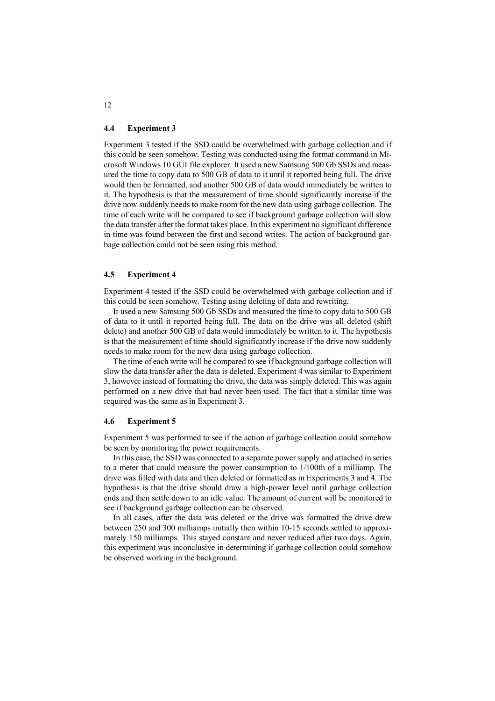#### **4.4 Experiment 3**

Experiment 3 tested if the SSD could be overwhelmed with garbage collection and if this could be seen somehow. Testing was conducted using the format command in Microsoft Windows 10 GUI file explorer. It used a new Samsung 500 Gb SSDs and measured the time to copy data to 500 GB of data to it until it reported being full. The drive would then be formatted, and another 500 GB of data would immediately be written to it. The hypothesis is that the measurement of time should significantly increase if the drive now suddenly needs to make room for the new data using garbage collection. The time of each write will be compared to see if background garbage collection will slow the data transfer after the format takes place. In this experiment no significant difference in time was found between the first and second writes. The action of background garbage collection could not be seen using this method.

### **4.5 Experiment 4**

Experiment 4 tested if the SSD could be overwhelmed with garbage collection and if this could be seen somehow. Testing using deleting of data and rewriting.

It used a new Samsung 500 Gb SSDs and measured the time to copy data to 500 GB of data to it until it reported being full. The data on the drive was all deleted (shift delete) and another 500 GB of data would immediately be written to it. The hypothesis is that the measurement of time should significantly increase if the drive now suddenly needs to make room for the new data using garbage collection.

The time of each write will be compared to see if background garbage collection will slow the data transfer after the data is deleted. Experiment 4 was similar to Experiment 3, however instead of formatting the drive, the data was simply deleted. This was again performed on a new drive that had never been used. The fact that a similar time was required was the same as in Experiment 3.

#### **4.6 Experiment 5**

Experiment 5 was performed to see if the action of garbage collection could somehow be seen by monitoring the power requirements.

In this case, the SSD was connected to a separate power supply and attached in series to a meter that could measure the power consumption to 1/100th of a milliamp. The drive was filled with data and then deleted or formatted as in Experiments 3 and 4. The hypothesis is that the drive should draw a high-power level until garbage collection ends and then settle down to an idle value. The amount of current will be monitored to see if background garbage collection can be observed.

In all cases, after the data was deleted or the drive was formatted the drive drew between 250 and 300 milliamps initially then within 10-15 seconds settled to approximately 150 milliamps. This stayed constant and never reduced after two days. Again, this experiment was inconclusive in determining if garbage collection could somehow be observed working in the background.

12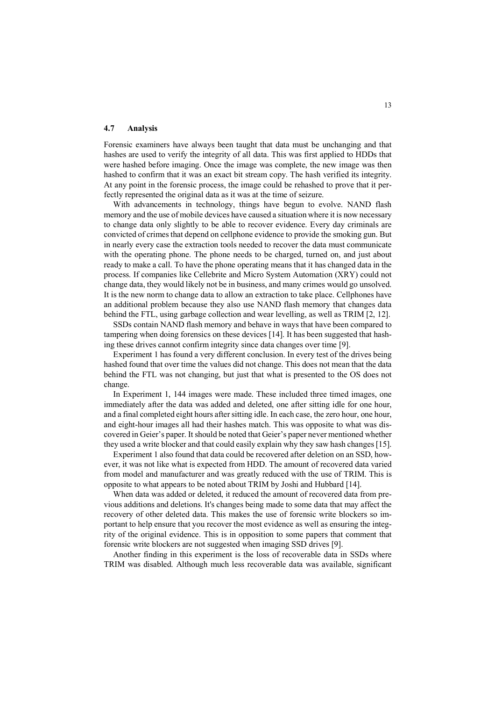#### **4.7 Analysis**

Forensic examiners have always been taught that data must be unchanging and that hashes are used to verify the integrity of all data. This was first applied to HDDs that were hashed before imaging. Once the image was complete, the new image was then hashed to confirm that it was an exact bit stream copy. The hash verified its integrity. At any point in the forensic process, the image could be rehashed to prove that it perfectly represented the original data as it was at the time of seizure.

With advancements in technology, things have begun to evolve. NAND flash memory and the use of mobile devices have caused a situation where it is now necessary to change data only slightly to be able to recover evidence. Every day criminals are convicted of crimes that depend on cellphone evidence to provide the smoking gun. But in nearly every case the extraction tools needed to recover the data must communicate with the operating phone. The phone needs to be charged, turned on, and just about ready to make a call. To have the phone operating means that it has changed data in the process. If companies like Cellebrite and Micro System Automation (XRY) could not change data, they would likely not be in business, and many crimes would go unsolved. It is the new norm to change data to allow an extraction to take place. Cellphones have an additional problem because they also use NAND flash memory that changes data behind the FTL, using garbage collection and wear levelling, as well as TRIM [2, 12].

SSDs contain NAND flash memory and behave in ways that have been compared to tampering when doing forensics on these devices [14]. It has been suggested that hashing these drives cannot confirm integrity since data changes over time [9].

Experiment 1 has found a very different conclusion. In every test of the drives being hashed found that over time the values did not change. This does not mean that the data behind the FTL was not changing, but just that what is presented to the OS does not change.

In Experiment 1, 144 images were made. These included three timed images, one immediately after the data was added and deleted, one after sitting idle for one hour, and a final completed eight hours after sitting idle. In each case, the zero hour, one hour, and eight-hour images all had their hashes match. This was opposite to what was discovered in Geier's paper. It should be noted that Geier's paper never mentioned whether they used a write blocker and that could easily explain why they saw hash changes [15].

Experiment 1 also found that data could be recovered after deletion on an SSD, however, it was not like what is expected from HDD. The amount of recovered data varied from model and manufacturer and was greatly reduced with the use of TRIM. This is opposite to what appears to be noted about TRIM by Joshi and Hubbard [14].

When data was added or deleted, it reduced the amount of recovered data from previous additions and deletions. It's changes being made to some data that may affect the recovery of other deleted data. This makes the use of forensic write blockers so important to help ensure that you recover the most evidence as well as ensuring the integrity of the original evidence. This is in opposition to some papers that comment that forensic write blockers are not suggested when imaging SSD drives [9].

Another finding in this experiment is the loss of recoverable data in SSDs where TRIM was disabled. Although much less recoverable data was available, significant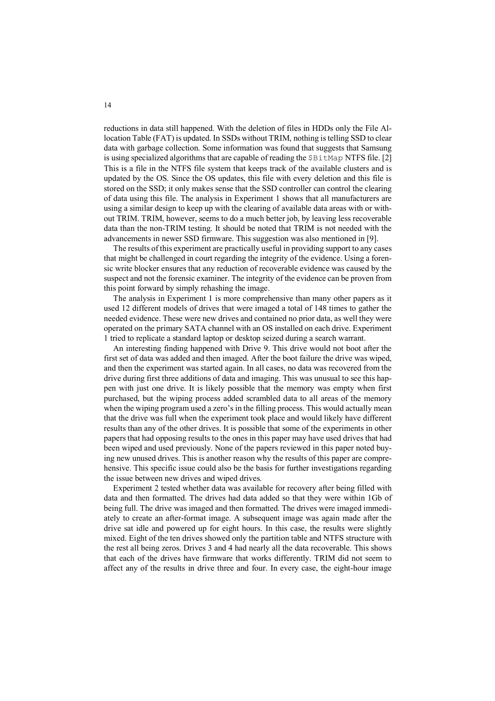reductions in data still happened. With the deletion of files in HDDs only the File Allocation Table (FAT) is updated. In SSDs without TRIM, nothing is telling SSD to clear data with garbage collection. Some information was found that suggests that Samsung is using specialized algorithms that are capable of reading the \$BitMap NTFS file. [2] This is a file in the NTFS file system that keeps track of the available clusters and is updated by the OS. Since the OS updates, this file with every deletion and this file is stored on the SSD; it only makes sense that the SSD controller can control the clearing of data using this file. The analysis in Experiment 1 shows that all manufacturers are using a similar design to keep up with the clearing of available data areas with or without TRIM. TRIM, however, seems to do a much better job, by leaving less recoverable data than the non-TRIM testing. It should be noted that TRIM is not needed with the advancements in newer SSD firmware. This suggestion was also mentioned in [9].

The results of this experiment are practically useful in providing support to any cases that might be challenged in court regarding the integrity of the evidence. Using a forensic write blocker ensures that any reduction of recoverable evidence was caused by the suspect and not the forensic examiner. The integrity of the evidence can be proven from this point forward by simply rehashing the image.

The analysis in Experiment 1 is more comprehensive than many other papers as it used 12 different models of drives that were imaged a total of 148 times to gather the needed evidence. These were new drives and contained no prior data, as well they were operated on the primary SATA channel with an OS installed on each drive. Experiment 1 tried to replicate a standard laptop or desktop seized during a search warrant.

An interesting finding happened with Drive 9. This drive would not boot after the first set of data was added and then imaged. After the boot failure the drive was wiped, and then the experiment was started again. In all cases, no data was recovered from the drive during first three additions of data and imaging. This was unusual to see this happen with just one drive. It is likely possible that the memory was empty when first purchased, but the wiping process added scrambled data to all areas of the memory when the wiping program used a zero's in the filling process. This would actually mean that the drive was full when the experiment took place and would likely have different results than any of the other drives. It is possible that some of the experiments in other papers that had opposing results to the ones in this paper may have used drives that had been wiped and used previously. None of the papers reviewed in this paper noted buying new unused drives. This is another reason why the results of this paper are comprehensive. This specific issue could also be the basis for further investigations regarding the issue between new drives and wiped drives.

Experiment 2 tested whether data was available for recovery after being filled with data and then formatted. The drives had data added so that they were within 1Gb of being full. The drive was imaged and then formatted. The drives were imaged immediately to create an after-format image. A subsequent image was again made after the drive sat idle and powered up for eight hours. In this case, the results were slightly mixed. Eight of the ten drives showed only the partition table and NTFS structure with the rest all being zeros. Drives 3 and 4 had nearly all the data recoverable. This shows that each of the drives have firmware that works differently. TRIM did not seem to affect any of the results in drive three and four. In every case, the eight-hour image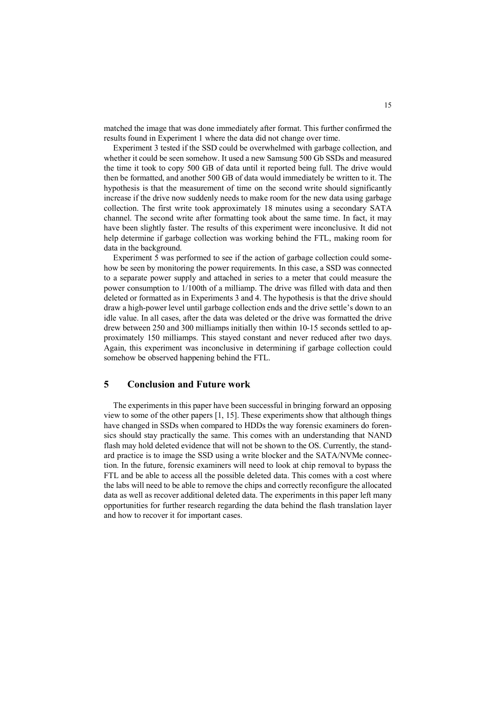matched the image that was done immediately after format. This further confirmed the results found in Experiment 1 where the data did not change over time.

Experiment 3 tested if the SSD could be overwhelmed with garbage collection, and whether it could be seen somehow. It used a new Samsung 500 Gb SSDs and measured the time it took to copy 500 GB of data until it reported being full. The drive would then be formatted, and another 500 GB of data would immediately be written to it. The hypothesis is that the measurement of time on the second write should significantly increase if the drive now suddenly needs to make room for the new data using garbage collection. The first write took approximately 18 minutes using a secondary SATA channel. The second write after formatting took about the same time. In fact, it may have been slightly faster. The results of this experiment were inconclusive. It did not help determine if garbage collection was working behind the FTL, making room for data in the background.

Experiment 5 was performed to see if the action of garbage collection could somehow be seen by monitoring the power requirements. In this case, a SSD was connected to a separate power supply and attached in series to a meter that could measure the power consumption to 1/100th of a milliamp. The drive was filled with data and then deleted or formatted as in Experiments 3 and 4. The hypothesis is that the drive should draw a high-power level until garbage collection ends and the drive settle's down to an idle value. In all cases, after the data was deleted or the drive was formatted the drive drew between 250 and 300 milliamps initially then within 10-15 seconds settled to approximately 150 milliamps. This stayed constant and never reduced after two days. Again, this experiment was inconclusive in determining if garbage collection could somehow be observed happening behind the FTL.

# **5 Conclusion and Future work**

The experiments in this paper have been successful in bringing forward an opposing view to some of the other papers [1, 15]. These experiments show that although things have changed in SSDs when compared to HDDs the way forensic examiners do forensics should stay practically the same. This comes with an understanding that NAND flash may hold deleted evidence that will not be shown to the OS. Currently, the standard practice is to image the SSD using a write blocker and the SATA/NVMe connection. In the future, forensic examiners will need to look at chip removal to bypass the FTL and be able to access all the possible deleted data. This comes with a cost where the labs will need to be able to remove the chips and correctly reconfigure the allocated data as well as recover additional deleted data. The experiments in this paper left many opportunities for further research regarding the data behind the flash translation layer and how to recover it for important cases.